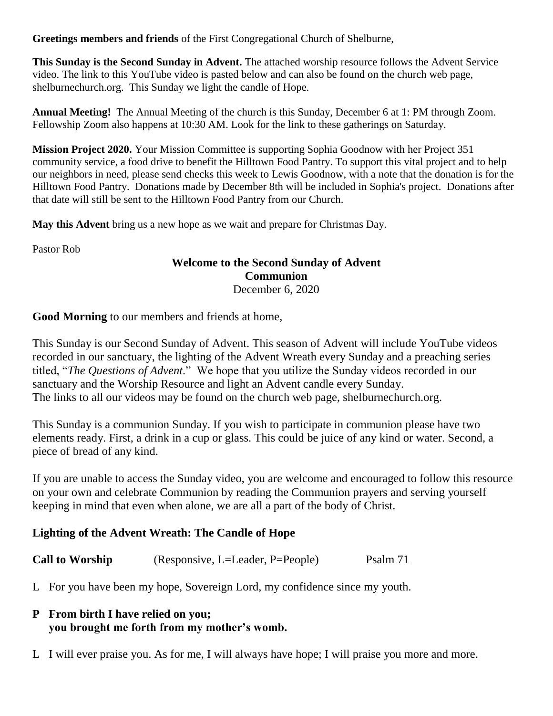**Greetings members and friends** of the First Congregational Church of Shelburne,

**This Sunday is the Second Sunday in Advent.** The attached worship resource follows the Advent Service video. The link to this YouTube video is pasted below and can also be found on the church web page, shelburnechurch.org. This Sunday we light the candle of Hope.

**Annual Meeting!** The Annual Meeting of the church is this Sunday, December 6 at 1: PM through Zoom. Fellowship Zoom also happens at 10:30 AM. Look for the link to these gatherings on Saturday.

**Mission Project 2020.** Your Mission Committee is supporting Sophia Goodnow with her Project 351 community service, a food drive to benefit the Hilltown Food Pantry. To support this vital project and to help our neighbors in need, please send checks this week to Lewis Goodnow, with a note that the donation is for the Hilltown Food Pantry. Donations made by December 8th will be included in Sophia's project. Donations after that date will still be sent to the Hilltown Food Pantry from our Church.

**May this Advent** bring us a new hope as we wait and prepare for Christmas Day.

Pastor Rob

#### **Welcome to the Second Sunday of Advent Communion** December 6, 2020

**Good Morning** to our members and friends at home,

This Sunday is our Second Sunday of Advent. This season of Advent will include YouTube videos recorded in our sanctuary, the lighting of the Advent Wreath every Sunday and a preaching series titled, "*The Questions of Advent*." We hope that you utilize the Sunday videos recorded in our sanctuary and the Worship Resource and light an Advent candle every Sunday. The links to all our videos may be found on the church web page, shelburnechurch.org.

This Sunday is a communion Sunday. If you wish to participate in communion please have two elements ready. First, a drink in a cup or glass. This could be juice of any kind or water. Second, a piece of bread of any kind.

If you are unable to access the Sunday video, you are welcome and encouraged to follow this resource on your own and celebrate Communion by reading the Communion prayers and serving yourself keeping in mind that even when alone, we are all a part of the body of Christ.

## **Lighting of the Advent Wreath: The Candle of Hope**

| <b>Call to Worship</b> | $(Response, L=Leader, P=People)$ | Psalm 71 |
|------------------------|----------------------------------|----------|
|------------------------|----------------------------------|----------|

L For you have been my hope, Sovereign Lord, my confidence since my youth.

## **P From birth I have relied on you; you brought me forth from my mother's womb.**

L I will ever praise you. As for me, I will always have hope; I will praise you more and more.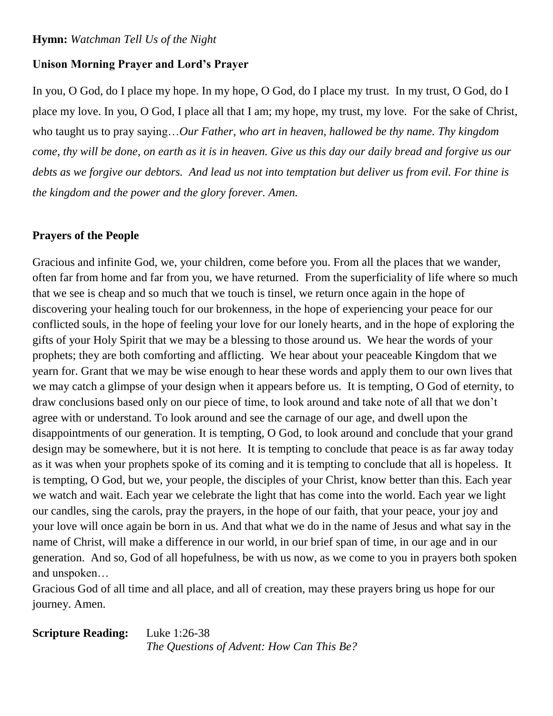### **Hymn:** *Watchman Tell Us of the Night*

### **Unison Morning Prayer and Lord's Prayer**

In you, O God, do I place my hope. In my hope, O God, do I place my trust. In my trust, O God, do I place my love. In you, O God, I place all that I am; my hope, my trust, my love. For the sake of Christ, who taught us to pray saying…*Our Father, who art in heaven, hallowed be thy name. Thy kingdom come, thy will be done, on earth as it is in heaven. Give us this day our daily bread and forgive us our debts as we forgive our debtors. And lead us not into temptation but deliver us from evil. For thine is the kingdom and the power and the glory forever. Amen.*

### **Prayers of the People**

Gracious and infinite God, we, your children, come before you. From all the places that we wander, often far from home and far from you, we have returned. From the superficiality of life where so much that we see is cheap and so much that we touch is tinsel, we return once again in the hope of discovering your healing touch for our brokenness, in the hope of experiencing your peace for our conflicted souls, in the hope of feeling your love for our lonely hearts, and in the hope of exploring the gifts of your Holy Spirit that we may be a blessing to those around us. We hear the words of your prophets; they are both comforting and afflicting. We hear about your peaceable Kingdom that we yearn for. Grant that we may be wise enough to hear these words and apply them to our own lives that we may catch a glimpse of your design when it appears before us. It is tempting, O God of eternity, to draw conclusions based only on our piece of time, to look around and take note of all that we don't agree with or understand. To look around and see the carnage of our age, and dwell upon the disappointments of our generation. It is tempting, O God, to look around and conclude that your grand design may be somewhere, but it is not here. It is tempting to conclude that peace is as far away today as it was when your prophets spoke of its coming and it is tempting to conclude that all is hopeless. It is tempting, O God, but we, your people, the disciples of your Christ, know better than this. Each year we watch and wait. Each year we celebrate the light that has come into the world. Each year we light our candles, sing the carols, pray the prayers, in the hope of our faith, that your peace, your joy and your love will once again be born in us. And that what we do in the name of Jesus and what say in the name of Christ, will make a difference in our world, in our brief span of time, in our age and in our generation. And so, God of all hopefulness, be with us now, as we come to you in prayers both spoken and unspoken…

Gracious God of all time and all place, and all of creation, may these prayers bring us hope for our journey. Amen.

### **Scripture Reading:** Luke 1:26-38 *The Questions of Advent: How Can This Be?*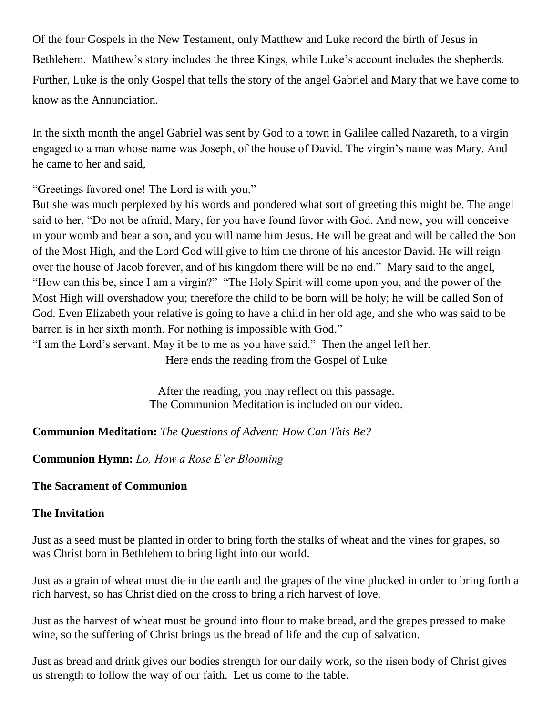Of the four Gospels in the New Testament, only Matthew and Luke record the birth of Jesus in Bethlehem. Matthew's story includes the three Kings, while Luke's account includes the shepherds. Further, Luke is the only Gospel that tells the story of the angel Gabriel and Mary that we have come to know as the Annunciation.

In the sixth month the angel Gabriel was sent by God to a town in Galilee called Nazareth, to a virgin engaged to a man whose name was Joseph, of the house of David. The virgin's name was Mary. And he came to her and said,

"Greetings favored one! The Lord is with you."

But she was much perplexed by his words and pondered what sort of greeting this might be. The angel said to her, "Do not be afraid, Mary, for you have found favor with God. And now, you will conceive in your womb and bear a son, and you will name him Jesus. He will be great and will be called the Son of the Most High, and the Lord God will give to him the throne of his ancestor David. He will reign over the house of Jacob forever, and of his kingdom there will be no end." Mary said to the angel, "How can this be, since I am a virgin?" "The Holy Spirit will come upon you, and the power of the Most High will overshadow you; therefore the child to be born will be holy; he will be called Son of God. Even Elizabeth your relative is going to have a child in her old age, and she who was said to be barren is in her sixth month. For nothing is impossible with God."

"I am the Lord's servant. May it be to me as you have said." Then the angel left her.

Here ends the reading from the Gospel of Luke

After the reading, you may reflect on this passage. The Communion Meditation is included on our video.

**Communion Meditation:** *The Questions of Advent: How Can This Be?*

**Communion Hymn:** *Lo, How a Rose E'er Blooming*

## **The Sacrament of Communion**

# **The Invitation**

Just as a seed must be planted in order to bring forth the stalks of wheat and the vines for grapes, so was Christ born in Bethlehem to bring light into our world.

Just as a grain of wheat must die in the earth and the grapes of the vine plucked in order to bring forth a rich harvest, so has Christ died on the cross to bring a rich harvest of love.

Just as the harvest of wheat must be ground into flour to make bread, and the grapes pressed to make wine, so the suffering of Christ brings us the bread of life and the cup of salvation.

Just as bread and drink gives our bodies strength for our daily work, so the risen body of Christ gives us strength to follow the way of our faith. Let us come to the table.